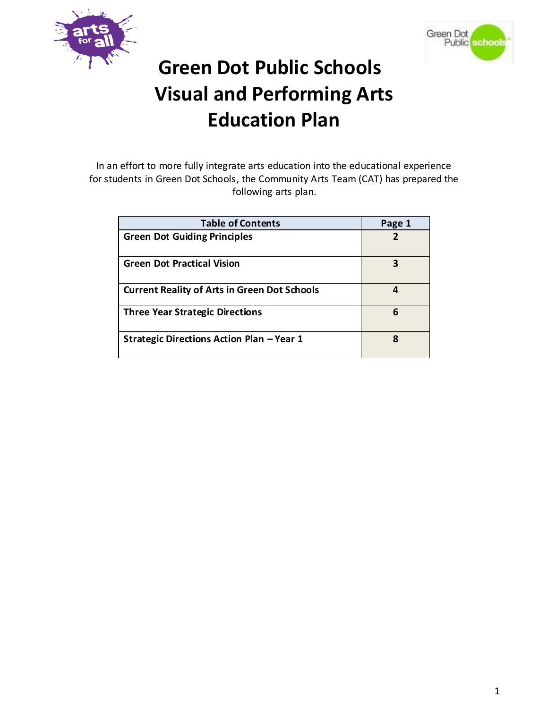



# **Green Dot Public Schools Visual and Performing Arts Education Plan**

In an effort to more fully integrate arts education into the educational experience for students in Green Dot Schools, the Community Arts Team (CAT) has prepared the following arts plan.

| <b>Table of Contents</b>                            | Page 1 |
|-----------------------------------------------------|--------|
| <b>Green Dot Guiding Principles</b>                 |        |
| <b>Green Dot Practical Vision</b>                   | 3      |
| <b>Current Reality of Arts in Green Dot Schools</b> | 4      |
| <b>Three Year Strategic Directions</b>              | 6      |
| Strategic Directions Action Plan - Year 1           | 8      |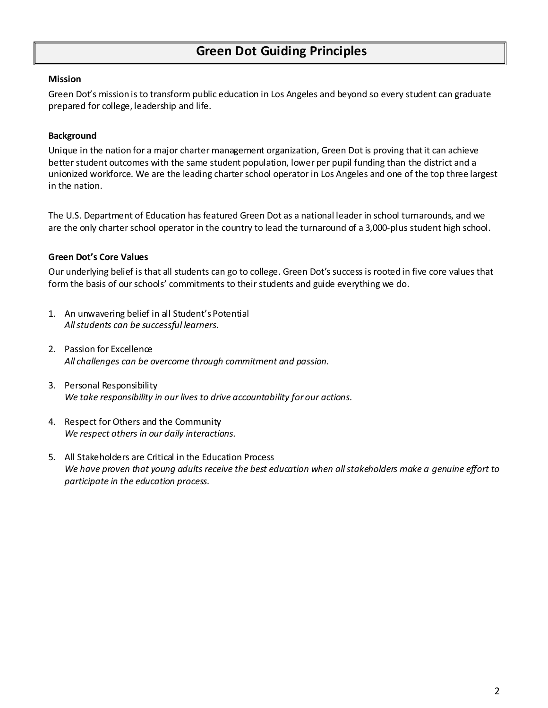#### **Mission**

Green Dot's mission is to transform public education in Los Angeles and beyond so every student can graduate prepared for college, leadership and life.

### **Background**

Unique in the nation for a major charter management organization, Green Dot is proving that it can achieve better student outcomes with the same student population, lower per pupil funding than the district and a unionized workforce. We are the leading charter school operator in Los Angeles and one of the top three largest in the nation.

The U.S. Department of Education has featured Green Dot as a national leader in school turnarounds, and we are the only charter school operator in the country to lead the turnaround of a 3,000-plus student high school.

#### **Green Dot's Core Values**

Our underlying belief is that all students can go to college. Green Dot's success is rooted in five core values that form the basis of our schools' commitments to their students and guide everything we do.

- 1. An unwavering belief in all Student's Potential *All students can be successful learners.*
- 2. Passion for Excellence *All challenges can be overcome through commitment and passion.*
- 3. Personal Responsibility *We take responsibility in our lives to drive accountability for our actions.*
- 4. Respect for Others and the Community *We respect others in our daily interactions.*
- 5. All Stakeholders are Critical in the Education Process *We have proven that young adults receive the best education when all stakeholders make a genuine effort to participate in the education process.*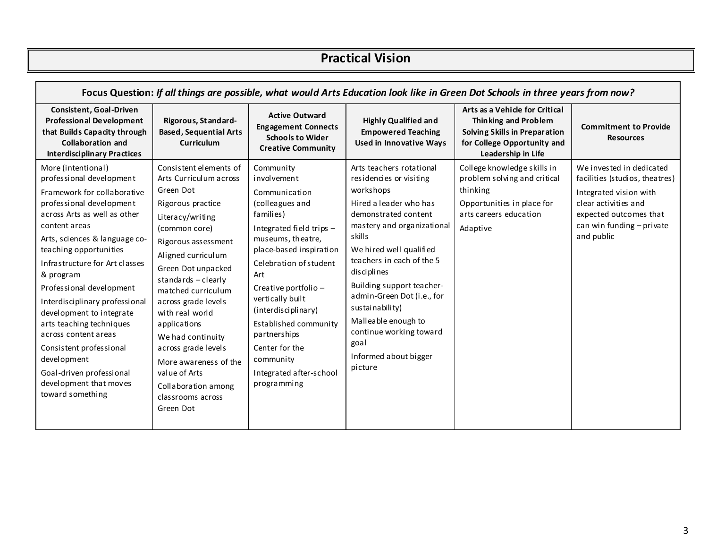### **Practical Vision**

| Focus Question: If all things are possible, what would Arts Education look like in Green Dot Schools in three years from now?                                                                                                                                                                                                                                                                                                                                                                                                          |                                                                                                                                                                                                                                                                                                                                                                                                                                                  |                                                                                                                                                                                                                                                                                                                                                                               |                                                                                                                                                                                                                                                                                                                                                                                                               |                                                                                                                                                     |                                                                                                                                                                                   |
|----------------------------------------------------------------------------------------------------------------------------------------------------------------------------------------------------------------------------------------------------------------------------------------------------------------------------------------------------------------------------------------------------------------------------------------------------------------------------------------------------------------------------------------|--------------------------------------------------------------------------------------------------------------------------------------------------------------------------------------------------------------------------------------------------------------------------------------------------------------------------------------------------------------------------------------------------------------------------------------------------|-------------------------------------------------------------------------------------------------------------------------------------------------------------------------------------------------------------------------------------------------------------------------------------------------------------------------------------------------------------------------------|---------------------------------------------------------------------------------------------------------------------------------------------------------------------------------------------------------------------------------------------------------------------------------------------------------------------------------------------------------------------------------------------------------------|-----------------------------------------------------------------------------------------------------------------------------------------------------|-----------------------------------------------------------------------------------------------------------------------------------------------------------------------------------|
| <b>Consistent, Goal-Driven</b><br><b>Professional Development</b><br>that Builds Capacity through<br><b>Collaboration and</b><br><b>Interdisciplinary Practices</b>                                                                                                                                                                                                                                                                                                                                                                    | Rigorous, St and ard-<br><b>Based, Sequential Arts</b><br><b>Curriculum</b>                                                                                                                                                                                                                                                                                                                                                                      | <b>Active Outward</b><br><b>Engagement Connects</b><br><b>Schools to Wider</b><br><b>Creative Community</b>                                                                                                                                                                                                                                                                   | <b>Highly Qualified and</b><br><b>Empowered Teaching</b><br><b>Used in Innovative Ways</b>                                                                                                                                                                                                                                                                                                                    | Arts as a Vehicle for Critical<br>Thinking and Problem<br><b>Solving Skills in Preparation</b><br>for College Opportunity and<br>Leadership in Life | <b>Commitment to Provide</b><br><b>Resources</b>                                                                                                                                  |
| More (intentional)<br>professional development<br>Framework for collaborative<br>professional development<br>across Arts as well as other<br>content areas<br>Arts, sciences & language co-<br>teaching opportunities<br>Infrastructure for Art classes<br>& program<br>Professional development<br>Interdisciplinary professional<br>development to integrate<br>arts teaching techniques<br>across content areas<br>Consistent professional<br>development<br>Goal-driven professional<br>development that moves<br>toward something | Consistent elements of<br>Arts Curriculum across<br>Green Dot<br>Rigorous practice<br>Literacy/writing<br>(common core)<br>Rigorous assessment<br>Aligned curriculum<br>Green Dot unpacked<br>standards - clearly<br>matched curriculum<br>across grade levels<br>with real world<br>applications<br>We had continuity<br>across grade levels<br>More awareness of the<br>value of Arts<br>Collaboration among<br>classrooms across<br>Green Dot | Community<br>involvement<br>Communication<br>(colleagues and<br>families)<br>Integrated field trips $-$<br>museums, theatre,<br>place-based inspiration<br>Celebration of student<br>Art<br>Creative portfolio -<br>vertically built<br>(interdisciplinary)<br>Established community<br>partnerships<br>Center for the<br>community<br>Integrated after-school<br>programming | Arts teachers rotational<br>residencies or visiting<br>workshops<br>Hired a leader who has<br>demonstrated content<br>mastery and organizational<br>skills<br>We hired well qualified<br>teachers in each of the 5<br>disciplines<br>Building support teacher-<br>admin-Green Dot (i.e., for<br>sustainability)<br>Malleable enough to<br>continue working toward<br>goal<br>Informed about bigger<br>picture | College knowledge skills in<br>problem solving and critical<br>thinking<br>Opportunities in place for<br>arts careers education<br>Adaptive         | We invested in dedicated<br>facilities (studios, theatres)<br>Integrated vision with<br>clear activities and<br>expected outcomes that<br>can win funding - private<br>and public |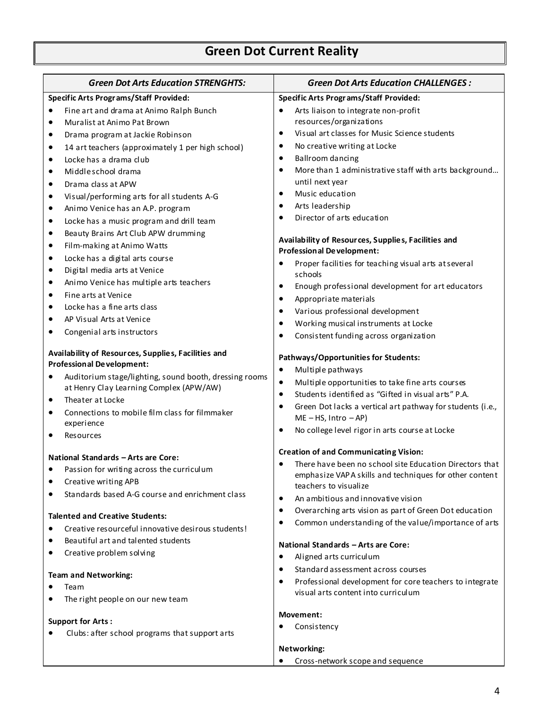# **Green Dot Current Reality**

|                                        | <b>Green Dot Arts Education STRENGHTS:</b>                                              | <b>Green Dot Arts Education CHALLENGES:</b>                                                            |  |  |
|----------------------------------------|-----------------------------------------------------------------------------------------|--------------------------------------------------------------------------------------------------------|--|--|
| Specific Arts Programs/Staff Provided: |                                                                                         | <b>Specific Arts Programs/Staff Provided:</b>                                                          |  |  |
| $\bullet$                              | Fine art and drama at Animo Ralph Bunch                                                 | Arts liaison to integrate non-profit<br>$\bullet$                                                      |  |  |
| ٠                                      | Muralist at Animo Pat Brown                                                             | resources/organizations                                                                                |  |  |
| ٠                                      | Drama program at Jackie Robinson                                                        | Visual art classes for Music Science students<br>$\bullet$                                             |  |  |
| $\bullet$                              | 14 art teachers (approximately 1 per high school)                                       | No creative writing at Locke<br>$\bullet$                                                              |  |  |
| ٠                                      | Locke has a drama club                                                                  | Ballroom dancing<br>$\bullet$                                                                          |  |  |
| $\bullet$                              | Middle school drama                                                                     | More than 1 administrative staff with arts background<br>$\bullet$                                     |  |  |
| ٠                                      | Drama class at APW                                                                      | until next year                                                                                        |  |  |
| ٠                                      | Visual/performing arts for all students A-G                                             | Music education<br>$\bullet$                                                                           |  |  |
| ٠                                      | Animo Venice has an A.P. program                                                        | Arts leadership<br>$\bullet$                                                                           |  |  |
| $\bullet$                              | Locke has a music program and drill team                                                | Director of arts education<br>$\bullet$                                                                |  |  |
| ٠                                      | Beauty Brains Art Club APW drumming                                                     | Availability of Resources, Supplies, Facilities and                                                    |  |  |
| ٠                                      | Film-making at Animo Watts                                                              | <b>Professional Development:</b>                                                                       |  |  |
| ٠                                      | Locke has a digital arts course                                                         | Proper facilities for teaching visual arts at several<br>٠                                             |  |  |
| ٠                                      | Digital media arts at Venice                                                            | schools                                                                                                |  |  |
| ٠                                      | Animo Venice has multiple arts teachers                                                 | Enough professional development for art educators<br>$\bullet$                                         |  |  |
| ٠                                      | Fine arts at Venice                                                                     | Appropriate materials<br>$\bullet$                                                                     |  |  |
| ٠                                      | Locke has a fine arts class                                                             | Various professional development<br>$\bullet$                                                          |  |  |
|                                        | AP Visual Arts at Venice                                                                | Working musical instruments at Locke<br>$\bullet$                                                      |  |  |
|                                        | Congenial arts instructors                                                              | Consistent funding across organization<br>$\bullet$                                                    |  |  |
|                                        | Availability of Resources, Supplies, Facilities and<br><b>Professional Development:</b> | <b>Pathways/Opportunities for Students:</b>                                                            |  |  |
|                                        | Auditorium stage/lighting, sound booth, dressing rooms                                  | Multiple pathways<br>٠                                                                                 |  |  |
|                                        | at Henry Clay Learning Complex (APW/AW)                                                 | Multiple opportunities to take fine arts courses<br>$\bullet$                                          |  |  |
| $\bullet$                              | Theater at Locke                                                                        | Students identified as "Gifted in visual arts" P.A.<br>$\bullet$                                       |  |  |
| $\bullet$                              | Connections to mobile film class for filmmaker                                          | Green Dot lacks a vertical art pathway for students (i.e.,<br>$\bullet$                                |  |  |
|                                        | experience                                                                              | $ME - HS$ , Intro $- AP$ )<br>No college level rigor in arts course at Locke<br>$\bullet$              |  |  |
|                                        | Resources                                                                               |                                                                                                        |  |  |
|                                        | National Standards - Arts are Core:                                                     | <b>Creation of and Communicating Vision:</b>                                                           |  |  |
|                                        | Passion for writing across the curriculum                                               | There have been no school site Education Directors that                                                |  |  |
|                                        | Creative writing APB                                                                    | emphasize VAP A skills and techniques for other content<br>teachers to visualize                       |  |  |
|                                        | Standards based A-G course and enrichment class                                         |                                                                                                        |  |  |
|                                        |                                                                                         | An ambitious and innovative vision<br>٠<br>Overarching arts vision as part of Green Dot education<br>٠ |  |  |
|                                        | <b>Talented and Creative Students:</b>                                                  | Common understanding of the value/importance of arts<br>٠                                              |  |  |
| $\bullet$                              | Creative resourceful innovative desirous students!                                      |                                                                                                        |  |  |
|                                        | Beautiful art and talented students                                                     | National Standards - Arts are Core:                                                                    |  |  |
|                                        | Creative problem solving                                                                | Aligned arts curriculum<br>$\bullet$                                                                   |  |  |
|                                        |                                                                                         | Standard assessment across courses<br>$\bullet$                                                        |  |  |
|                                        | <b>Team and Networking:</b>                                                             | Professional development for core teachers to integrate<br>$\bullet$                                   |  |  |
| ٠                                      | Team                                                                                    | visual arts content into curriculum                                                                    |  |  |
| $\bullet$                              | The right people on our new team                                                        |                                                                                                        |  |  |
|                                        | <b>Support for Arts:</b>                                                                | Movement:                                                                                              |  |  |
|                                        | Clubs: after school programs that support arts                                          | Consistency                                                                                            |  |  |
|                                        |                                                                                         | Networking:                                                                                            |  |  |
|                                        |                                                                                         | Cross-network scope and sequence                                                                       |  |  |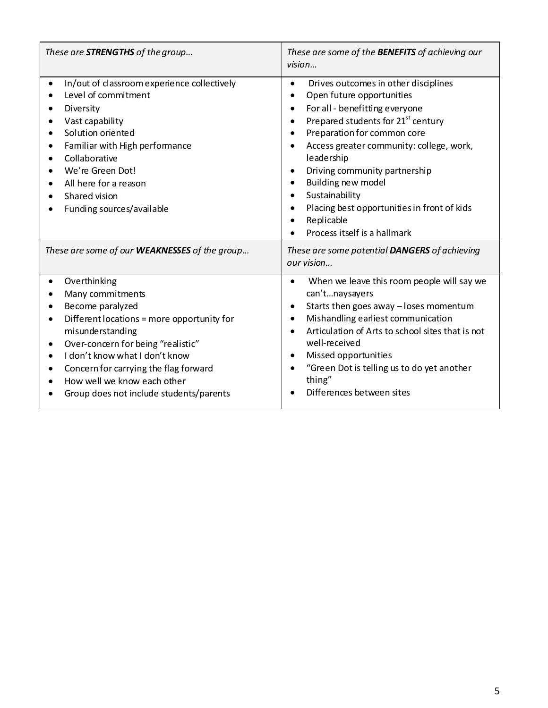| These are <b>STRENGTHS</b> of the group                                                                                                                                                                                                                                                                                        | These are some of the <b>BENEFITS</b> of achieving our<br>vision                                                                                                                                                                                                                                                                                                                                                                                            |
|--------------------------------------------------------------------------------------------------------------------------------------------------------------------------------------------------------------------------------------------------------------------------------------------------------------------------------|-------------------------------------------------------------------------------------------------------------------------------------------------------------------------------------------------------------------------------------------------------------------------------------------------------------------------------------------------------------------------------------------------------------------------------------------------------------|
| In/out of classroom experience collectively<br>Level of commitment<br>Diversity<br>Vast capability<br>Solution oriented<br>Familiar with High performance<br>Collaborative<br>We're Green Dot!<br>All here for a reason<br>Shared vision<br>Funding sources/available                                                          | Drives outcomes in other disciplines<br>$\bullet$<br>Open future opportunities<br>For all - benefitting everyone<br>$\bullet$<br>Prepared students for 21 <sup>st</sup> century<br>Preparation for common core<br>Access greater community: college, work,<br>leadership<br>Driving community partnership<br>Building new model<br>Sustainability<br>$\bullet$<br>Placing best opportunities in front of kids<br>Replicable<br>Process itself is a hallmark |
| These are some of our WEAKNESSES of the group                                                                                                                                                                                                                                                                                  | These are some potential DANGERS of achieving<br>our vision                                                                                                                                                                                                                                                                                                                                                                                                 |
| Overthinking<br>Many commitments<br>Become paralyzed<br>Different locations = more opportunity for<br>$\bullet$<br>misunderstanding<br>Over-concern for being "realistic"<br>I don't know what I don't know<br>Concern for carrying the flag forward<br>How well we know each other<br>Group does not include students/parents | When we leave this room people will say we<br>can'tnaysayers<br>Starts then goes away - loses momentum<br>Mishandling earliest communication<br>$\bullet$<br>Articulation of Arts to school sites that is not<br>well-received<br>Missed opportunities<br>"Green Dot is telling us to do yet another<br>thing"<br>Differences between sites                                                                                                                 |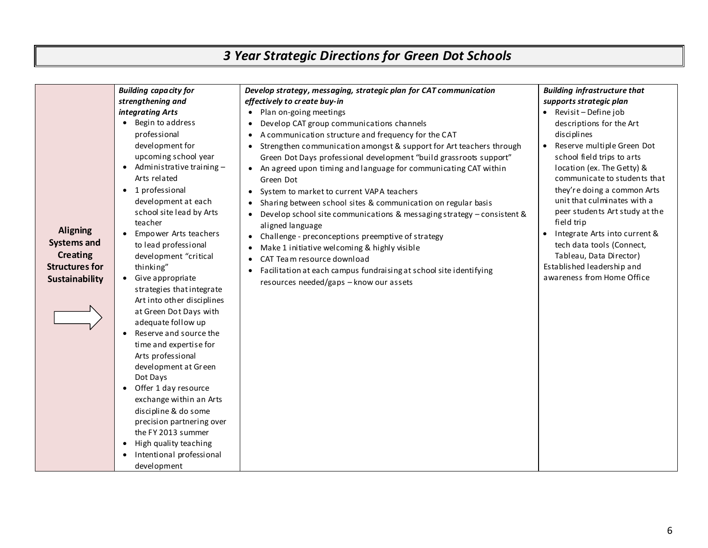# *3 Year Strategic Directions for Green Dot Schools*

|                                                                                                     |                                                                                                                                                                                                                                                                                                                                                                                                                                                                                                                                                                                                                                                                                                     |                                                                                                                                                                                                                                                                                                                                                                                                                                                                                                                                                                                                                                                                                                                                                                                                                                                                                                                                                                                                   | • Revisit - Define job                                                                                                                                                                                                                                                                                                                                                                                                                                                                                              |
|-----------------------------------------------------------------------------------------------------|-----------------------------------------------------------------------------------------------------------------------------------------------------------------------------------------------------------------------------------------------------------------------------------------------------------------------------------------------------------------------------------------------------------------------------------------------------------------------------------------------------------------------------------------------------------------------------------------------------------------------------------------------------------------------------------------------------|---------------------------------------------------------------------------------------------------------------------------------------------------------------------------------------------------------------------------------------------------------------------------------------------------------------------------------------------------------------------------------------------------------------------------------------------------------------------------------------------------------------------------------------------------------------------------------------------------------------------------------------------------------------------------------------------------------------------------------------------------------------------------------------------------------------------------------------------------------------------------------------------------------------------------------------------------------------------------------------------------|---------------------------------------------------------------------------------------------------------------------------------------------------------------------------------------------------------------------------------------------------------------------------------------------------------------------------------------------------------------------------------------------------------------------------------------------------------------------------------------------------------------------|
| <b>Aligning</b><br><b>Systems and</b><br><b>Creating</b><br><b>Structures for</b><br>Sustainability | <b>Building capacity for</b><br>strengthening and<br>integrating Arts<br>• Begin to address<br>professional<br>development for<br>upcoming school year<br>$\bullet$ Administrative training -<br>Arts related<br>• 1 professional<br>development at each<br>school site lead by Arts<br>teacher<br>Empower Arts teachers<br>$\bullet$<br>to lead professional<br>development "critical<br>thinking"<br>• Give appropriate<br>strategies that integrate<br>Art into other disciplines<br>at Green Dot Days with<br>adequate follow up<br>Reserve and source the<br>$\bullet$<br>time and expertise for<br>Arts professional<br>development at Green<br>Dot Days<br>Offer 1 day resource<br>$\bullet$ | Develop strategy, messaging, strategic plan for CAT communication<br>effectively to create buy-in<br>• Plan on-going meetings<br>Develop CAT group communications channels<br>$\bullet$<br>A communication structure and frequency for the CAT<br>$\bullet$<br>Strengthen communication amongst & support for Art teachers through<br>Green Dot Days professional development "build grassroots support"<br>• An agreed upon timing and language for communicating CAT within<br>Green Dot<br>System to market to current VAPA teachers<br>Sharing between school sites & communication on regular basis<br>Develop school site communications & messaging strategy - consistent &<br>aligned language<br>Challenge - preconceptions preemptive of strategy<br>Make 1 initiative welcoming & highly visible<br>$\bullet$<br>CAT Team resource download<br>$\bullet$<br>Facilitation at each campus fundraising at school site identifying<br>$\bullet$<br>resources needed/gaps - know our assets | <b>Building infrastructure that</b><br>supports strategic plan<br>descriptions for the Art<br>disciplines<br>Reserve multiple Green Dot<br>$\bullet$<br>school field trips to arts<br>location (ex. The Getty) &<br>communicate to students that<br>they're doing a common Arts<br>unit that culminates with a<br>peer students Art study at the<br>field trip<br>Integrate Arts into current &<br>tech data tools (Connect,<br>Tableau, Data Director)<br>Established leadership and<br>awareness from Home Office |
|                                                                                                     | exchange within an Arts<br>discipline & do some<br>precision partnering over<br>the FY 2013 summer<br>High quality teaching<br>$\bullet$<br>Intentional professional<br>development                                                                                                                                                                                                                                                                                                                                                                                                                                                                                                                 |                                                                                                                                                                                                                                                                                                                                                                                                                                                                                                                                                                                                                                                                                                                                                                                                                                                                                                                                                                                                   |                                                                                                                                                                                                                                                                                                                                                                                                                                                                                                                     |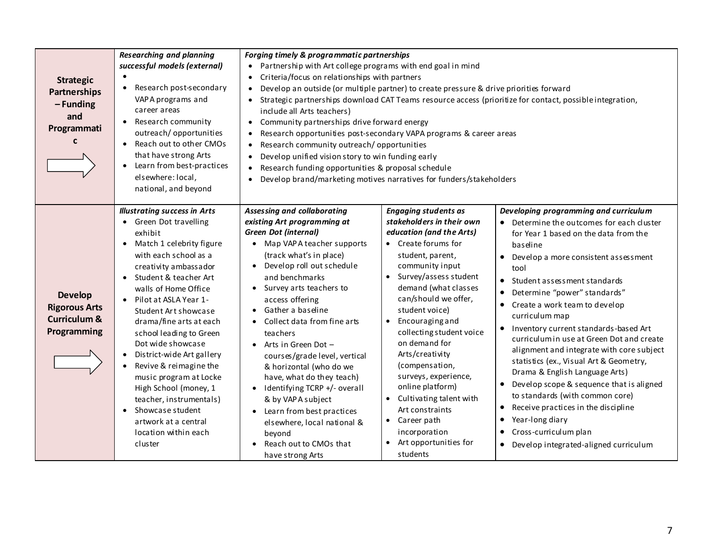| <b>Researching and planning</b><br><b>Strategic</b><br>$\bullet$<br>Partnerships<br>$-$ Funding<br>career areas<br>and<br>$\bullet$<br>Programmati<br>$\mathbf{c}$<br>$\bullet$<br>elsewhere: local, | successful models (external)<br>Research post-secondary<br>$\bullet$<br>VAPA programs and<br>$\bullet$<br>Research community<br>$\bullet$<br>outreach/opportunities<br>Reach out to other CMOs<br>$\bullet$<br>that have strong Arts<br>$\bullet$<br>• Learn from best-practices<br>$\bullet$<br>$\bullet$<br>national, and beyond                                                                                                                                                                                                                                                                                                                                                                                                                                                                                                                                                                 | Forging timely & programmatic partnerships<br>Partnership with Art college programs with end goal in mind<br>Criteria/focus on relationships with partners<br>Develop an outside (or multiple partner) to create pressure & drive priorities forward<br>Strategic partnerships download CAT Teams resource access (prioritize for contact, possible integration,<br>include all Arts teachers)<br>Community partnerships drive forward energy<br>Research opportunities post-secondary VAPA programs & career areas<br>Research community outreach/opportunities<br>Develop unified vision story to win funding early<br>Research funding opportunities & proposal schedule<br>Develop brand/marketing motives narratives for funders/stakeholders |                                                                                                                                                                                                                                                                                                                                                                                                                                                                                                                                                                             |                                                                                                                                                                                                                                                                                                                                                                                                                                                                                                                                                                                                                                                                                                                                           |
|------------------------------------------------------------------------------------------------------------------------------------------------------------------------------------------------------|----------------------------------------------------------------------------------------------------------------------------------------------------------------------------------------------------------------------------------------------------------------------------------------------------------------------------------------------------------------------------------------------------------------------------------------------------------------------------------------------------------------------------------------------------------------------------------------------------------------------------------------------------------------------------------------------------------------------------------------------------------------------------------------------------------------------------------------------------------------------------------------------------|----------------------------------------------------------------------------------------------------------------------------------------------------------------------------------------------------------------------------------------------------------------------------------------------------------------------------------------------------------------------------------------------------------------------------------------------------------------------------------------------------------------------------------------------------------------------------------------------------------------------------------------------------------------------------------------------------------------------------------------------------|-----------------------------------------------------------------------------------------------------------------------------------------------------------------------------------------------------------------------------------------------------------------------------------------------------------------------------------------------------------------------------------------------------------------------------------------------------------------------------------------------------------------------------------------------------------------------------|-------------------------------------------------------------------------------------------------------------------------------------------------------------------------------------------------------------------------------------------------------------------------------------------------------------------------------------------------------------------------------------------------------------------------------------------------------------------------------------------------------------------------------------------------------------------------------------------------------------------------------------------------------------------------------------------------------------------------------------------|
| • Green Dot travelling<br>exhibit<br>$\bullet$<br><b>Develop</b><br>$\bullet$<br><b>Rigorous Arts</b><br><b>Curriculum &amp;</b><br>Programming<br>$\bullet$<br>Showcase student<br>cluster          | <b>Illustrating success in Arts</b><br>Assessing and collaborating<br>existing Art programming at<br><b>Green Dot (internal)</b><br>Match 1 celebrity figure<br>with each school as a<br>(track what's in place)<br>creativity ambassador<br>$\bullet$<br>• Student & teacher Art<br>and benchmarks<br>walls of Home Office<br>• Survey arts teachers to<br>Pilot at ASLA Year 1-<br>access offering<br>Gather a baseline<br>Student Art showcase<br>$\bullet$<br>drama/fine arts at each<br>$\bullet$<br>school leading to Green<br>teachers<br>Dot wide showcase<br>Arts in Green Dot -<br>$\bullet$<br>District-wide Art gallery<br>Revive & reimagine the<br>music program at Locke<br>High School (money, 1<br>$\bullet$<br>teacher, instrumentals)<br>& by VAPA subject<br>$\bullet$<br>artwork at a central<br>location within each<br>beyond<br>Reach out to CMOs that<br>have strong Arts | • Map VAPA teacher supports<br>Develop roll out schedule<br>$\bullet$<br>Collect data from fine arts<br>$\bullet$<br>courses/grade level, vertical<br>& horizontal (who do we<br>have, what do they teach)<br>Identifying TCRP +/- overall<br>$\bullet$<br>Learn from best practices<br>• Career path<br>elsewhere, local national &<br>students                                                                                                                                                                                                                                                                                                                                                                                                   | <b>Engaging students as</b><br>stakeholders in their own<br>education (and the Arts)<br>• Create forums for<br>student, parent,<br>community input<br>Survey/assess student<br>demand (what classes<br>$\bullet$<br>can/should we offer,<br>student voice)<br><b>Encouraging and</b><br>$\bullet$<br>collecting student voice<br>on demand for<br>Arts/creativity<br>(compensation,<br>surveys, experience,<br>$\bullet$<br>online platform)<br>Cultivating talent with<br>$\bullet$<br>Art constraints<br>$\bullet$<br>incorporation<br>Art opportunities for<br>$\bullet$ | Developing programming and curriculum<br>• Determine the outcomes for each cluster<br>for Year 1 based on the data from the<br>baseline<br>Develop a more consistent assessment<br>tool<br>Student assessment standards<br>Determine "power" standards"<br>• Create a work team to develop<br>curriculum map<br>Inventory current standards-based Art<br>curriculum in use at Green Dot and create<br>alignment and integrate with core subject<br>statistics (ex., Visual Art & Geometry,<br>Drama & English Language Arts)<br>Develop scope & sequence that is aligned<br>to standards (with common core)<br>Receive practices in the discipline<br>Year-long diary<br>• Cross-curriculum plan<br>Develop integrated-aligned curriculum |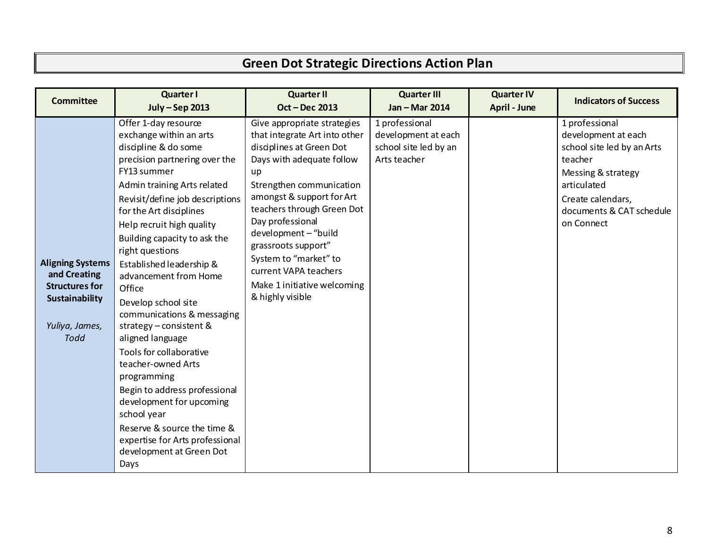# **Green Dot Strategic Directions Action Plan**

| <b>Committee</b>                                                                                                    | <b>Quarter I</b><br><b>July-Sep 2013</b>                                                                                                                                                                                                                                                                                                                                                                                                                                                                                                                                                                                                                                                                                  | <b>Quarter II</b><br><b>Oct-Dec 2013</b>                                                                                                                                                                                                                                                                                                                                                   | <b>Quarter III</b><br>Jan - Mar 2014                                           | <b>Quarter IV</b><br>April - June | <b>Indicators of Success</b>                                                                                                                                                       |
|---------------------------------------------------------------------------------------------------------------------|---------------------------------------------------------------------------------------------------------------------------------------------------------------------------------------------------------------------------------------------------------------------------------------------------------------------------------------------------------------------------------------------------------------------------------------------------------------------------------------------------------------------------------------------------------------------------------------------------------------------------------------------------------------------------------------------------------------------------|--------------------------------------------------------------------------------------------------------------------------------------------------------------------------------------------------------------------------------------------------------------------------------------------------------------------------------------------------------------------------------------------|--------------------------------------------------------------------------------|-----------------------------------|------------------------------------------------------------------------------------------------------------------------------------------------------------------------------------|
| <b>Aligning Systems</b><br>and Creating<br><b>Structures for</b><br>Sustainability<br>Yuliya, James,<br><b>Todd</b> | Offer 1-day resource<br>exchange within an arts<br>discipline & do some<br>precision partnering over the<br>FY13 summer<br>Admin training Arts related<br>Revisit/define job descriptions<br>for the Art disciplines<br>Help recruit high quality<br>Building capacity to ask the<br>right questions<br>Established leadership &<br>advancement from Home<br>Office<br>Develop school site<br>communications & messaging<br>strategy - consistent &<br>aligned language<br>Tools for collaborative<br>teacher-owned Arts<br>programming<br>Begin to address professional<br>development for upcoming<br>school year<br>Reserve & source the time &<br>expertise for Arts professional<br>development at Green Dot<br>Days | Give appropriate strategies<br>that integrate Art into other<br>disciplines at Green Dot<br>Days with adequate follow<br>up<br>Strengthen communication<br>amongst & support for Art<br>teachers through Green Dot<br>Day professional<br>development - "build<br>grassroots support"<br>System to "market" to<br>current VAPA teachers<br>Make 1 initiative welcoming<br>& highly visible | 1 professional<br>development at each<br>school site led by an<br>Arts teacher |                                   | 1 professional<br>development at each<br>school site led by an Arts<br>teacher<br>Messing & strategy<br>articulated<br>Create calendars,<br>documents & CAT schedule<br>on Connect |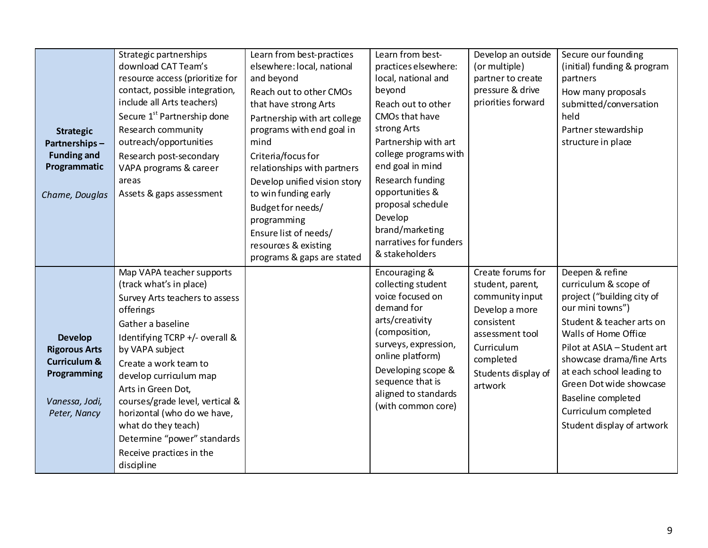| <b>Strategic</b><br>Partnerships-<br><b>Funding and</b><br>Programmatic<br>Chame, Douglas                          | Strategic partnerships<br>download CAT Team's<br>resource access (prioritize for<br>contact, possible integration,<br>include all Arts teachers)<br>Secure 1 <sup>st</sup> Partnership done<br>Research community<br>outreach/opportunities<br>Research post-secondary<br>VAPA programs & career<br>areas<br>Assets & gaps assessment                                                                                    | Learn from best-practices<br>elsewhere: local, national<br>and beyond<br>Reach out to other CMOs<br>that have strong Arts<br>Partnership with art college<br>programs with end goal in<br>mind<br>Criteria/focus for<br>relationships with partners<br>Develop unified vision story<br>to win funding early<br>Budget for needs/<br>programming<br>Ensure list of needs/<br>resources & existing<br>programs & gaps are stated | Learn from best-<br>practices elsewhere:<br>local, national and<br>beyond<br>Reach out to other<br>CMOs that have<br>strong Arts<br>Partnership with art<br>college programs with<br>end goal in mind<br>Research funding<br>opportunities &<br>proposal schedule<br>Develop<br>brand/marketing<br>narratives for funders<br>& stakeholders | Develop an outside<br>(or multiple)<br>partner to create<br>pressure & drive<br>priorities forward                                                                       | Secure our founding<br>(initial) funding & program<br>partners<br>How many proposals<br>submitted/conversation<br>held<br>Partner stewardship<br>structure in place                                                                                                                                                                            |
|--------------------------------------------------------------------------------------------------------------------|--------------------------------------------------------------------------------------------------------------------------------------------------------------------------------------------------------------------------------------------------------------------------------------------------------------------------------------------------------------------------------------------------------------------------|--------------------------------------------------------------------------------------------------------------------------------------------------------------------------------------------------------------------------------------------------------------------------------------------------------------------------------------------------------------------------------------------------------------------------------|---------------------------------------------------------------------------------------------------------------------------------------------------------------------------------------------------------------------------------------------------------------------------------------------------------------------------------------------|--------------------------------------------------------------------------------------------------------------------------------------------------------------------------|------------------------------------------------------------------------------------------------------------------------------------------------------------------------------------------------------------------------------------------------------------------------------------------------------------------------------------------------|
| <b>Develop</b><br><b>Rigorous Arts</b><br><b>Curriculum &amp;</b><br>Programming<br>Vanessa, Jodi,<br>Peter, Nancy | Map VAPA teacher supports<br>(track what's in place)<br>Survey Arts teachers to assess<br>offerings<br>Gather a baseline<br>Identifying TCRP +/- overall &<br>by VAPA subject<br>Create a work team to<br>develop curriculum map<br>Arts in Green Dot,<br>courses/grade level, vertical &<br>horizontal (who do we have,<br>what do they teach)<br>Determine "power" standards<br>Receive practices in the<br>discipline |                                                                                                                                                                                                                                                                                                                                                                                                                                | Encouraging &<br>collecting student<br>voice focused on<br>demand for<br>arts/creativity<br>(composition,<br>surveys, expression,<br>online platform)<br>Developing scope &<br>sequence that is<br>aligned to standards<br>(with common core)                                                                                               | Create forums for<br>student, parent,<br>community input<br>Develop a more<br>consistent<br>assessment tool<br>Curriculum<br>completed<br>Students display of<br>artwork | Deepen & refine<br>curriculum & scope of<br>project ("building city of<br>our mini towns")<br>Student & teacher arts on<br>Walls of Home Office<br>Pilot at ASLA - Student art<br>showcase drama/fine Arts<br>at each school leading to<br>Green Dot wide showcase<br>Baseline completed<br>Curriculum completed<br>Student display of artwork |